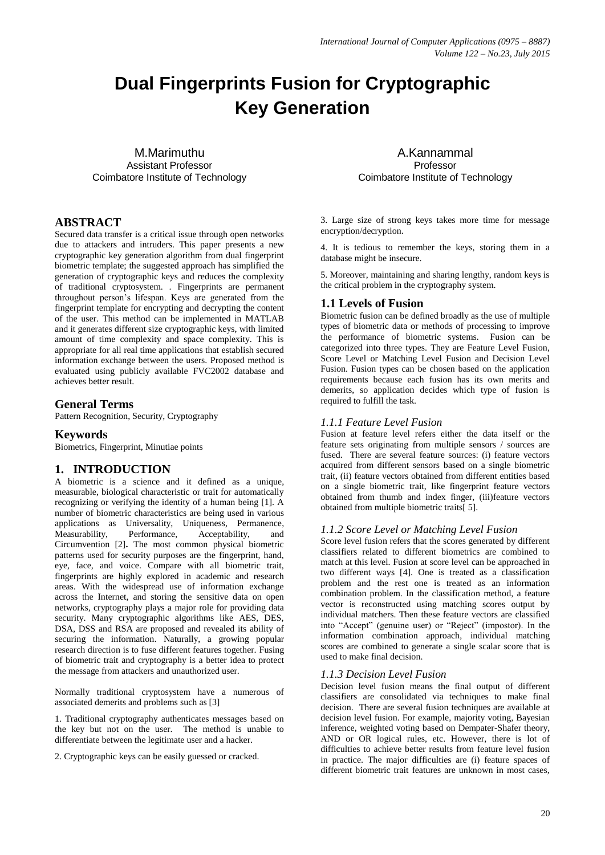# **Dual Fingerprints Fusion for Cryptographic Key Generation**

M.Marimuthu Assistant Professor Coimbatore Institute of Technology

# **ABSTRACT**

Secured data transfer is a critical issue through open networks due to attackers and intruders. This paper presents a new cryptographic key generation algorithm from dual fingerprint biometric template; the suggested approach has simplified the generation of cryptographic keys and reduces the complexity of traditional cryptosystem. . Fingerprints are permanent throughout person's lifespan. Keys are generated from the fingerprint template for encrypting and decrypting the content of the user. This method can be implemented in MATLAB and it generates different size cryptographic keys, with limited amount of time complexity and space complexity. This is appropriate for all real time applications that establish secured information exchange between the users. Proposed method is evaluated using publicly available FVC2002 database and achieves better result.

# **General Terms**

Pattern Recognition, Security, Cryptography

# **Keywords**

Biometrics, Fingerprint, Minutiae points

# **1. INTRODUCTION**

A biometric is a science and it defined as a unique, measurable, biological characteristic or trait for automatically recognizing or verifying the identity of a human being [1]. A number of biometric characteristics are being used in various applications as Universality, Uniqueness, Permanence, Measurability, Performance, Acceptability, and Circumvention [2]**.** The most common physical biometric patterns used for security purposes are the fingerprint, hand, eye, face, and voice. Compare with all biometric trait, fingerprints are highly explored in academic and research areas. With the widespread use of information exchange across the Internet, and storing the sensitive data on open networks, cryptography plays a major role for providing data security. Many cryptographic algorithms like AES, DES, DSA, DSS and RSA are proposed and revealed its ability of securing the information. Naturally, a growing popular research direction is to fuse different features together. Fusing of biometric trait and cryptography is a better idea to protect the message from attackers and unauthorized user.

Normally traditional cryptosystem have a numerous of associated demerits and problems such as [3]

1. Traditional cryptography authenticates messages based on the key but not on the user. The method is unable to differentiate between the legitimate user and a hacker.

2. Cryptographic keys can be easily guessed or cracked.

A.Kannammal Professor Coimbatore Institute of Technology

3. Large size of strong keys takes more time for message encryption/decryption.

4. It is tedious to remember the keys, storing them in a database might be insecure.

5. Moreover, maintaining and sharing lengthy, random keys is the critical problem in the cryptography system.

# **1.1 Levels of Fusion**

Biometric fusion can be defined broadly as the use of multiple types of biometric data or methods of processing to improve the performance of biometric systems. Fusion can be categorized into three types. They are Feature Level Fusion, Score Level or Matching Level Fusion and Decision Level Fusion. Fusion types can be chosen based on the application requirements because each fusion has its own merits and demerits, so application decides which type of fusion is required to fulfill the task.

#### *1.1.1 Feature Level Fusion*

Fusion at feature level refers either the data itself or the feature sets originating from multiple sensors / sources are fused. There are several feature sources: (i) feature vectors acquired from different sensors based on a single biometric trait, (ii) feature vectors obtained from different entities based on a single biometric trait, like fingerprint feature vectors obtained from thumb and index finger, (iii)feature vectors obtained from multiple biometric traits[ 5].

#### *1.1.2 Score Level or Matching Level Fusion*

Score level fusion refers that the scores generated by different classifiers related to different biometrics are combined to match at this level. Fusion at score level can be approached in two different ways [4]. One is treated as a classification problem and the rest one is treated as an information combination problem. In the classification method, a feature vector is reconstructed using matching scores output by individual matchers. Then these feature vectors are classified into "Accept" (genuine user) or "Reject" (impostor). In the information combination approach, individual matching scores are combined to generate a single scalar score that is used to make final decision.

#### *1.1.3 Decision Level Fusion*

Decision level fusion means the final output of different classifiers are consolidated via techniques to make final decision. There are several fusion techniques are available at decision level fusion. For example, majority voting, Bayesian inference, weighted voting based on Dempater-Shafer theory, AND or OR logical rules, etc. However, there is lot of difficulties to achieve better results from feature level fusion in practice. The major difficulties are (i) feature spaces of different biometric trait features are unknown in most cases,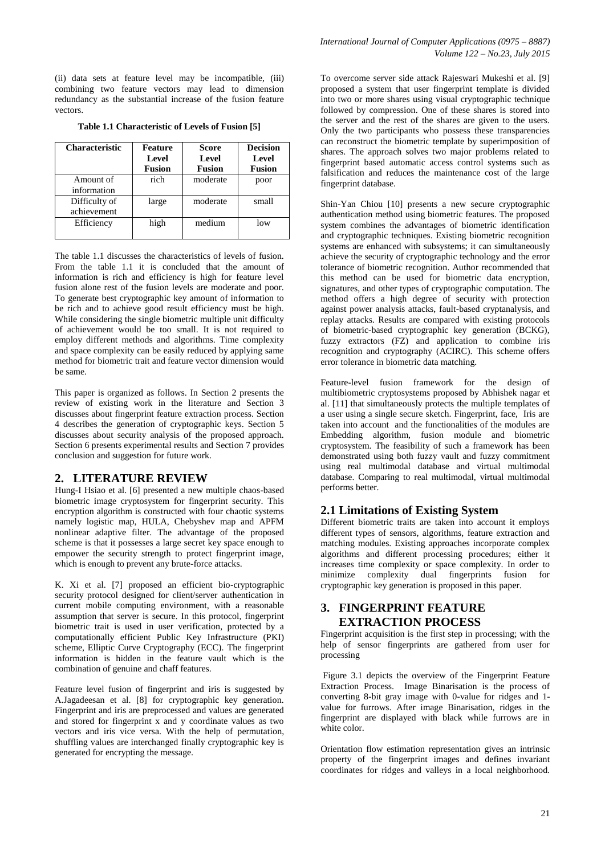(ii) data sets at feature level may be incompatible, (iii) combining two feature vectors may lead to dimension redundancy as the substantial increase of the fusion feature vectors.

|  | Table 1.1 Characteristic of Levels of Fusion [5] |  |  |
|--|--------------------------------------------------|--|--|
|--|--------------------------------------------------|--|--|

| <b>Characteristic</b>        | Feature<br>Level<br><b>Fusion</b> | <b>Score</b><br>Level<br><b>Fusion</b> | <b>Decision</b><br>Level<br><b>Fusion</b> |
|------------------------------|-----------------------------------|----------------------------------------|-------------------------------------------|
| Amount of<br>information     | rich                              | moderate                               | poor                                      |
| Difficulty of<br>achievement | large                             | moderate                               | small                                     |
| Efficiency                   | high                              | medium                                 | low                                       |

The table 1.1 discusses the characteristics of levels of fusion. From the table 1.1 it is concluded that the amount of information is rich and efficiency is high for feature level fusion alone rest of the fusion levels are moderate and poor. To generate best cryptographic key amount of information to be rich and to achieve good result efficiency must be high. While considering the single biometric multiple unit difficulty of achievement would be too small. It is not required to employ different methods and algorithms. Time complexity and space complexity can be easily reduced by applying same method for biometric trait and feature vector dimension would be same.

This paper is organized as follows. In Section 2 presents the review of existing work in the literature and Section 3 discusses about fingerprint feature extraction process. Section 4 describes the generation of cryptographic keys. Section 5 discusses about security analysis of the proposed approach. Section 6 presents experimental results and Section 7 provides conclusion and suggestion for future work.

#### **2. LITERATURE REVIEW**

Hung-I Hsiao et al. [6] presented a new multiple chaos-based biometric image cryptosystem for fingerprint security. This encryption algorithm is constructed with four chaotic systems namely logistic map, HULA, Chebyshev map and APFM nonlinear adaptive filter. The advantage of the proposed scheme is that it possesses a large secret key space enough to empower the security strength to protect fingerprint image, which is enough to prevent any brute-force attacks.

K. Xi et al. [7] proposed an efficient bio-cryptographic security protocol designed for client/server authentication in current mobile computing environment, with a reasonable assumption that server is secure. In this protocol, fingerprint biometric trait is used in user verification, protected by a computationally efficient Public Key Infrastructure (PKI) scheme, Elliptic Curve Cryptography (ECC). The fingerprint information is hidden in the feature vault which is the combination of genuine and chaff features.

Feature level fusion of fingerprint and iris is suggested by A.Jagadeesan et al. [8] for cryptographic key generation. Fingerprint and iris are preprocessed and values are generated and stored for fingerprint x and y coordinate values as two vectors and iris vice versa. With the help of permutation, shuffling values are interchanged finally cryptographic key is generated for encrypting the message.

To overcome server side attack Rajeswari Mukeshi et al. [9] proposed a system that user fingerprint template is divided into two or more shares using visual cryptographic technique followed by compression. One of these shares is stored into the server and the rest of the shares are given to the users. Only the two participants who possess these transparencies can reconstruct the biometric template by superimposition of shares. The approach solves two major problems related to fingerprint based automatic access control systems such as falsification and reduces the maintenance cost of the large fingerprint database.

Shin-Yan Chiou [10] presents a new secure cryptographic authentication method using biometric features. The proposed system combines the advantages of biometric identification and cryptographic techniques. Existing biometric recognition systems are enhanced with subsystems; it can simultaneously achieve the security of cryptographic technology and the error tolerance of biometric recognition. Author recommended that this method can be used for biometric data encryption, signatures, and other types of cryptographic computation. The method offers a high degree of security with protection against power analysis attacks, fault-based cryptanalysis, and replay attacks. Results are compared with existing protocols of biometric-based cryptographic key generation (BCKG), fuzzy extractors (FZ) and application to combine iris recognition and cryptography (ACIRC). This scheme offers error tolerance in biometric data matching.

Feature-level fusion framework for the design of multibiometric cryptosystems proposed by Abhishek nagar et al. [11] that simultaneously protects the multiple templates of a user using a single secure sketch. Fingerprint, face, Iris are taken into account and the functionalities of the modules are Embedding algorithm, fusion module and biometric cryptosystem. The feasibility of such a framework has been demonstrated using both fuzzy vault and fuzzy commitment using real multimodal database and virtual multimodal database. Comparing to real multimodal, virtual multimodal performs better.

# **2.1 Limitations of Existing System**

Different biometric traits are taken into account it employs different types of sensors, algorithms, feature extraction and matching modules. Existing approaches incorporate complex algorithms and different processing procedures; either it increases time complexity or space complexity. In order to minimize complexity dual fingerprints fusion for cryptographic key generation is proposed in this paper.

# **3. FINGERPRINT FEATURE EXTRACTION PROCESS**

Fingerprint acquisition is the first step in processing; with the help of sensor fingerprints are gathered from user for processing

Figure 3.1 depicts the overview of the Fingerprint Feature Extraction Process. Image Binarisation is the process of converting 8-bit gray image with 0-value for ridges and 1 value for furrows. After image Binarisation, ridges in the fingerprint are displayed with black while furrows are in white color.

Orientation flow estimation representation gives an intrinsic property of the fingerprint images and defines invariant coordinates for ridges and valleys in a local neighborhood.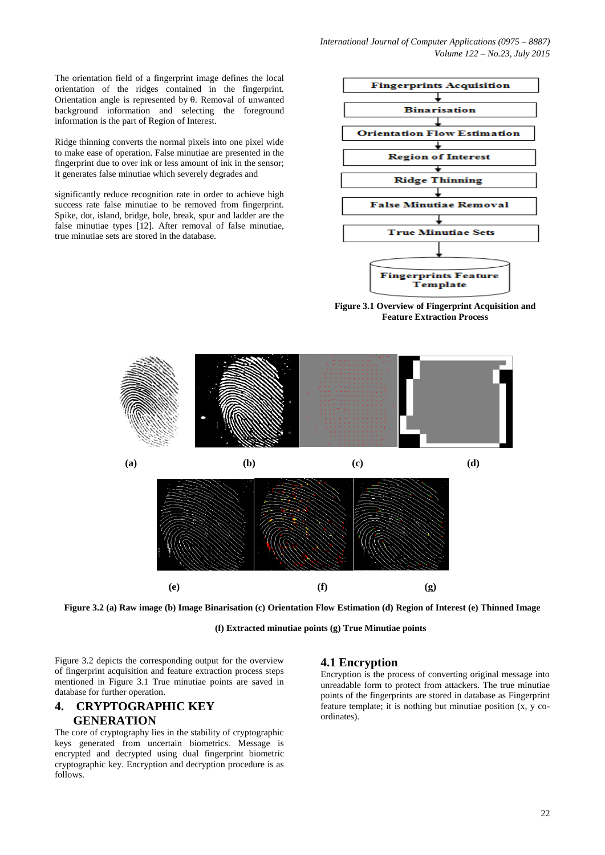*International Journal of Computer Applications (0975 – 8887) Volume 122 – No.23, July 2015*

The orientation field of a fingerprint image defines the local orientation of the ridges contained in the fingerprint. Orientation angle is represented by  $\theta$ . Removal of unwanted background information and selecting the foreground information is the part of Region of Interest.

Ridge thinning converts the normal pixels into one pixel wide to make ease of operation. False minutiae are presented in the fingerprint due to over ink or less amount of ink in the sensor; it generates false minutiae which severely degrades and

significantly reduce recognition rate in order to achieve high success rate false minutiae to be removed from fingerprint. Spike, dot, island, bridge, hole, break, spur and ladder are the false minutiae types [12]. After removal of false minutiae, true minutiae sets are stored in the database.



**Figure 3.1 Overview of Fingerprint Acquisition and Feature Extraction Process**



**Figure 3.2 (a) Raw image (b) Image Binarisation (c) Orientation Flow Estimation (d) Region of Interest (e) Thinned Image**

**(f) Extracted minutiae points (g) True Minutiae points**

Figure 3.2 depicts the corresponding output for the overview of fingerprint acquisition and feature extraction process steps mentioned in Figure 3.1 True minutiae points are saved in database for further operation.

#### **4. CRYPTOGRAPHIC KEY GENERATION**

The core of cryptography lies in the stability of cryptographic keys generated from uncertain biometrics. Message is encrypted and decrypted using dual fingerprint biometric cryptographic key. Encryption and decryption procedure is as follows.

#### **4.1 Encryption**

Encryption is the process of converting original message into unreadable form to protect from attackers. The true minutiae points of the fingerprints are stored in database as Fingerprint feature template; it is nothing but minutiae position (x, y coordinates).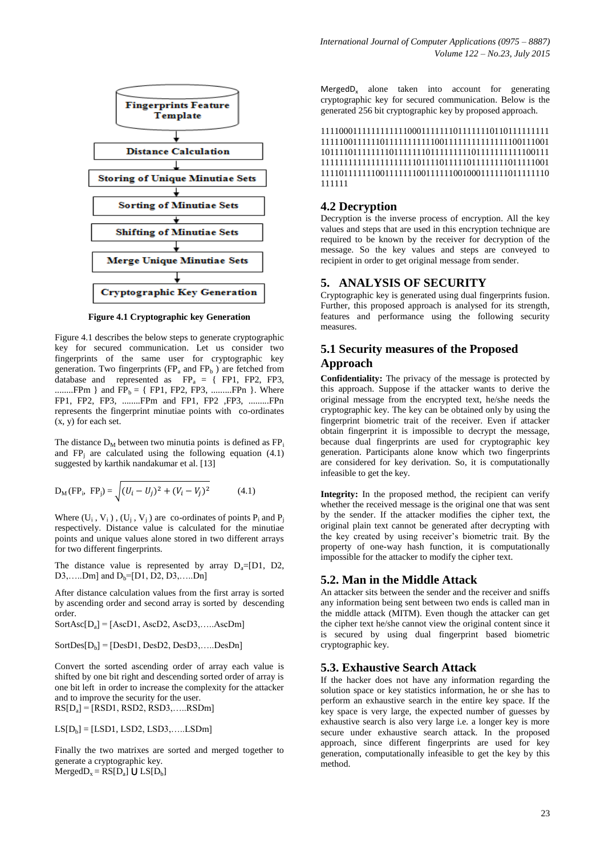

**Figure 4.1 Cryptographic key Generation**

Figure 4.1 describes the below steps to generate cryptographic key for secured communication. Let us consider two fingerprints of the same user for cryptographic key generation. Two fingerprints ( $FP_a$  and  $FP_b$ ) are fetched from database and represented as  $FP_a = \{ FPI, FP2, FP3,$ .........FPm } and  $FP_b = \{ FP1, FP2, FP3,$  ..........FPn }. Where FP1, FP2, FP3, ........FPm and FP1, FP2 ,FP3, .........FPn represents the fingerprint minutiae points with co-ordinates (x, y) for each set.

The distance  $D_M$  between two minutia points is defined as  $FP_i$ . and  $FP_i$  are calculated using the following equation (4.1) suggested by karthik nandakumar et al. [13]

$$
D_M(\text{FP}_i, \text{FP}_j) = \sqrt{(U_i - U_j)^2 + (V_i - V_j)^2}
$$
(4.1)

Where  $(U_i, V_i)$ ,  $(U_j, V_j)$  are co-ordinates of points  $P_i$  and  $P_j$ respectively. Distance value is calculated for the minutiae points and unique values alone stored in two different arrays for two different fingerprints.

The distance value is represented by array  $D_a=[D1, D2,$  $D3,$ .....Dm] and  $D_b$ =[D1, D2, D3,.....Dn]

After distance calculation values from the first array is sorted by ascending order and second array is sorted by descending order.

 $SortAsc[D<sub>a</sub>] = [AscD1, AscD2, AscD3,.....AscDm]$ 

 $SortDes[D_b] = [DesD1, DesD2, DesD3, \ldots. DesDn]$ 

Convert the sorted ascending order of array each value is shifted by one bit right and descending sorted order of array is one bit left in order to increase the complexity for the attacker and to improve the security for the user. RS[D<sup>a</sup> ] = [RSD1, RSD2, RSD3,…..RSDm]

 $LS[D_b] = [LSD1, LSD2, LSD3, \dots LSDm]$ 

Finally the two matrixes are sorted and merged together to generate a cryptographic key.  $MergedD_x = RS[D_a] \cup LS[D_b]$ 

MergedD<sub>x</sub> alone taken into account for generating cryptographic key for secured communication. Below is the generated 256 bit cryptographic key by proposed approach.

11110001111111111110001111111011111110110111111111 11111001111110111111111110011111111111111100111001 10111101111111101111111011111111101111111111100111 11111111111111111111101111011111011111111011111001 11110111111100111111100111111001000111111011111110 111111

#### **4.2 Decryption**

Decryption is the inverse process of encryption. All the key values and steps that are used in this encryption technique are required to be known by the receiver for decryption of the message. So the key values and steps are conveyed to recipient in order to get original message from sender.

#### **5. ANALYSIS OF SECURITY**

Cryptographic key is generated using dual fingerprints fusion. Further, this proposed approach is analysed for its strength, features and performance using the following security measures.

# **5.1 Security measures of the Proposed Approach**

**Confidentiality:** The privacy of the message is protected by this approach. Suppose if the attacker wants to derive the original message from the encrypted text, he/she needs the cryptographic key. The key can be obtained only by using the fingerprint biometric trait of the receiver. Even if attacker obtain fingerprint it is impossible to decrypt the message, because dual fingerprints are used for cryptographic key generation. Participants alone know which two fingerprints are considered for key derivation. So, it is computationally infeasible to get the key.

Integrity: In the proposed method, the recipient can verify whether the received message is the original one that was sent by the sender. If the attacker modifies the cipher text, the original plain text cannot be generated after decrypting with the key created by using receiver's biometric trait. By the property of one-way hash function, it is computationally impossible for the attacker to modify the cipher text.

#### **5.2. Man in the Middle Attack**

An attacker sits between the sender and the receiver and sniffs any information being sent between two ends is called man in the middle attack (MITM). Even though the attacker can get the cipher text he/she cannot view the original content since it is secured by using dual fingerprint based biometric cryptographic key.

#### **5.3. Exhaustive Search Attack**

If the hacker does not have any information regarding the solution space or key statistics information, he or she has to perform an exhaustive search in the entire key space. If the key space is very large, the expected number of guesses by exhaustive search is also very large i.e. a longer key is more secure under exhaustive search attack. In the proposed approach, since different fingerprints are used for key generation, computationally infeasible to get the key by this method.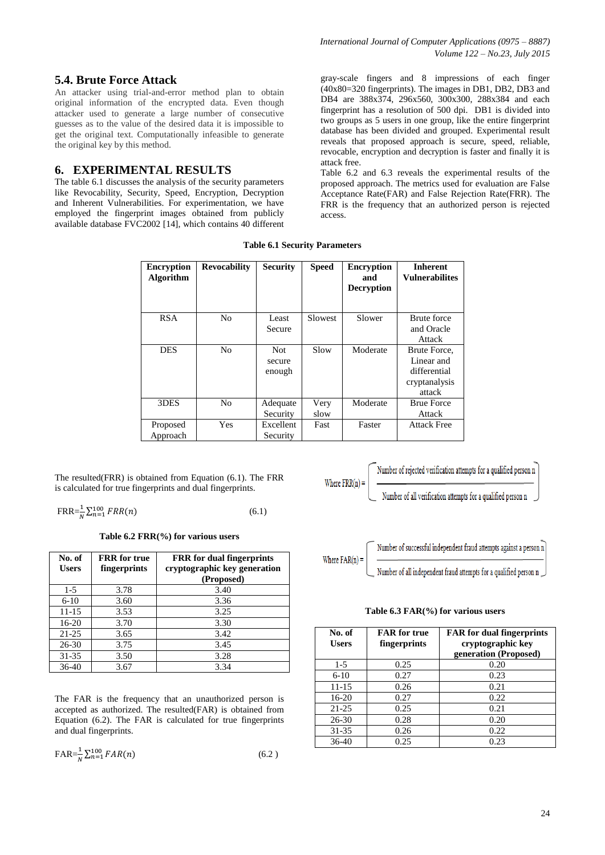# **5.4. Brute Force Attack**

An attacker using trial-and-error method plan to obtain original information of the encrypted data. Even though attacker used to generate a large number of consecutive guesses as to the value of the desired data it is impossible to get the original text. Computationally infeasible to generate the original key by this method.

# **6. EXPERIMENTAL RESULTS**

The table 6.1 discusses the analysis of the security parameters like Revocability, Security, Speed, Encryption, Decryption and Inherent Vulnerabilities. For experimentation, we have employed the fingerprint images obtained from publicly available database FVC2002 [14], which contains 40 different

gray-scale fingers and 8 impressions of each finger (40x80=320 fingerprints). The images in DB1, DB2, DB3 and DB4 are 388x374, 296x560, 300x300, 288x384 and each fingerprint has a resolution of 500 dpi. DB1 is divided into two groups as 5 users in one group, like the entire fingerprint database has been divided and grouped. Experimental result reveals that proposed approach is secure, speed, reliable, revocable, encryption and decryption is faster and finally it is attack free.

Table 6.2 and 6.3 reveals the experimental results of the proposed approach. The metrics used for evaluation are False Acceptance Rate(FAR) and False Rejection Rate(FRR). The FRR is the frequency that an authorized person is rejected access.

| <b>Encryption</b><br><b>Algorithm</b> | <b>Revocability</b> | <b>Security</b> | <b>Speed</b> | <b>Encryption</b><br>and<br><b>Decryption</b> | <b>Inherent</b><br><b>Vulnerabilites</b> |
|---------------------------------------|---------------------|-----------------|--------------|-----------------------------------------------|------------------------------------------|
| <b>RSA</b>                            | N <sub>0</sub>      | Least           | Slowest      | Slower                                        | Brute force                              |
|                                       |                     | Secure          |              |                                               | and Oracle                               |
|                                       |                     |                 |              |                                               | Attack                                   |
| <b>DES</b>                            | N <sub>0</sub>      | <b>Not</b>      | Slow         | Moderate                                      | Brute Force.                             |
|                                       |                     | secure          |              |                                               | Linear and                               |
|                                       |                     | enough          |              |                                               | differential                             |
|                                       |                     |                 |              |                                               | cryptanalysis                            |
|                                       |                     |                 |              |                                               | attack                                   |
| 3DES                                  | N <sub>0</sub>      | Adequate        | Very         | Moderate                                      | <b>Brue Force</b>                        |
|                                       |                     | Security        | slow         |                                               | Attack                                   |
| Proposed                              | Yes                 | Excellent       | Fast         | Faster                                        | <b>Attack Free</b>                       |
| Approach                              |                     | Security        |              |                                               |                                          |

Where  $FRR(n) =$ 

**Table 6.1 Security Parameters**

The resulted(FRR) is obtained from Equation (6.1). The FRR is calculated for true fingerprints and dual fingerprints.

$$
FRR = \frac{1}{N} \sum_{n=1}^{100} FRR(n)
$$
 (6.1)

**Table 6.2 FRR(%) for various users**

| No. of<br><b>Users</b> | <b>FRR</b> for true<br>fingerprints | <b>FRR</b> for dual fingerprints<br>cryptographic key generation<br>(Proposed) |
|------------------------|-------------------------------------|--------------------------------------------------------------------------------|
| $1-5$                  | 3.78                                | 3.40                                                                           |
| $6-10$                 | 3.60                                | 3.36                                                                           |
| 11-15                  | 3.53                                | 3.25                                                                           |
| 16-20                  | 3.70                                | 3.30                                                                           |
| $21 - 25$              | 3.65                                | 3.42                                                                           |
| 26-30                  | 3.75                                | 3.45                                                                           |
| 31-35                  | 3.50                                | 3.28                                                                           |
| 36-40                  | 3.67                                | 3.34                                                                           |

The FAR is the frequency that an unauthorized person is accepted as authorized. The resulted(FAR) is obtained from Equation (6.2). The FAR is calculated for true fingerprints and dual fingerprints.

$$
FAR = \frac{1}{N} \sum_{n=1}^{N} FAR(n)
$$
 (6.2)

Number of rejected verification attempts for a qualified person n

Number of all verification attempts for a qualified person n



**Table 6.3 FAR(%) for various users**

| No. of<br><b>Users</b> | <b>FAR</b> for true<br>fingerprints | <b>FAR</b> for dual fingerprints<br>cryptographic key<br>generation (Proposed) |
|------------------------|-------------------------------------|--------------------------------------------------------------------------------|
| $1-5$                  | 0.25                                | 0.20                                                                           |
| $6-10$                 | 0.27                                | 0.23                                                                           |
| 11-15                  | 0.26                                | 0.21                                                                           |
| $16-20$                | 0.27                                | 0.22                                                                           |
| $21 - 25$              | 0.25                                | 0.21                                                                           |
| 26-30                  | 0.28                                | 0.20                                                                           |
| $31 - 35$              | 0.26                                | 0.22                                                                           |
| 36-40                  | 0.25                                | 0.23                                                                           |